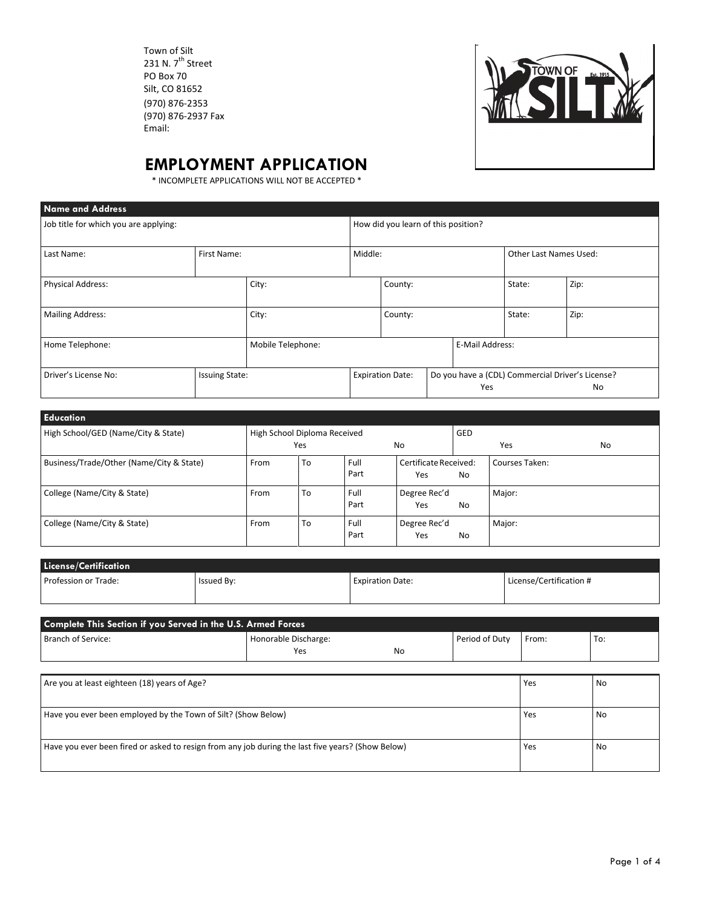Town of Silt 231 N.  $7^{\text{th}}$  Street PO Box 70 Silt, CO 81652 (970) 876‐2353 (970) 876‐2937 Fax Email:



## **EMPLOYMENT APPLICATION**

\* INCOMPLETE APPLICATIONS WILL NOT BE ACCEPTED \*

| <b>Name and Address</b>               |                       |                   |                                     |                         |                               |                 |      |                                                               |
|---------------------------------------|-----------------------|-------------------|-------------------------------------|-------------------------|-------------------------------|-----------------|------|---------------------------------------------------------------|
| Job title for which you are applying: |                       |                   | How did you learn of this position? |                         |                               |                 |      |                                                               |
| Last Name:<br>First Name:             |                       |                   | Middle:                             |                         | <b>Other Last Names Used:</b> |                 |      |                                                               |
| <b>Physical Address:</b>              |                       | City:             | County:                             |                         | State:                        | Zip:            |      |                                                               |
| <b>Mailing Address:</b>               |                       | City:             |                                     | County:                 |                               | State:          | Zip: |                                                               |
| Home Telephone:                       |                       | Mobile Telephone: |                                     |                         |                               | E-Mail Address: |      |                                                               |
| Driver's License No:                  | <b>Issuing State:</b> |                   |                                     | <b>Expiration Date:</b> |                               | Yes             |      | Do you have a (CDL) Commercial Driver's License?<br><b>No</b> |

| <b>Education</b>                         |                              |     |              |                              |            |                |           |
|------------------------------------------|------------------------------|-----|--------------|------------------------------|------------|----------------|-----------|
| High School/GED (Name/City & State)      | High School Diploma Received | Yes |              | No                           | <b>GED</b> | Yes            | <b>No</b> |
| Business/Trade/Other (Name/City & State) | From                         | To  | Full<br>Part | Certificate Received:<br>Yes | No         | Courses Taken: |           |
| College (Name/City & State)              | From                         | To  | Full<br>Part | Degree Rec'd<br>Yes          | No         | Major:         |           |
| College (Name/City & State)              | From                         | To  | Full<br>Part | Degree Rec'd<br>Yes          | No         | Major:         |           |

| License/Certification |            |                         |                         |  |  |  |
|-----------------------|------------|-------------------------|-------------------------|--|--|--|
| Profession or Trade:  | Issued By: | <b>Expiration Date:</b> | License/Certification # |  |  |  |
|                       |            |                         |                         |  |  |  |

| Complete This Section if you Served in the U.S. Armed Forces                                      |                             |           |                |       |           |  |  |
|---------------------------------------------------------------------------------------------------|-----------------------------|-----------|----------------|-------|-----------|--|--|
| Branch of Service:                                                                                | Honorable Discharge:<br>Yes | <b>No</b> | Period of Duty | From: | To:       |  |  |
|                                                                                                   |                             |           |                |       |           |  |  |
| Are you at least eighteen (18) years of Age?                                                      |                             |           |                | Yes   | <b>No</b> |  |  |
| Have you ever been employed by the Town of Silt? (Show Below)                                     |                             |           |                | Yes   | <b>No</b> |  |  |
| Have you ever been fired or asked to resign from any job during the last five years? (Show Below) |                             |           |                | Yes   | <b>No</b> |  |  |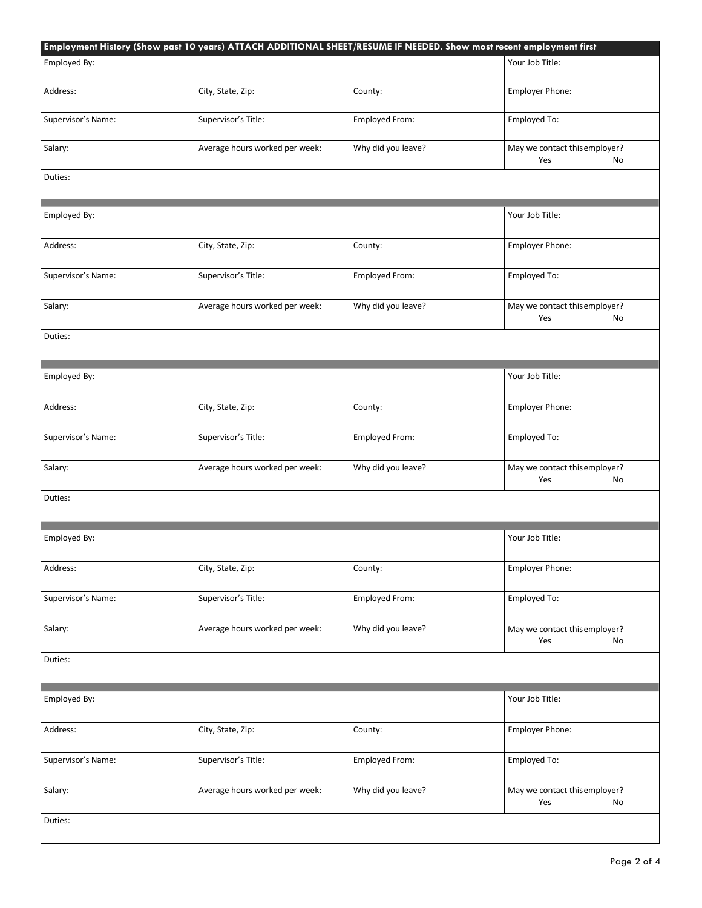|                    | Employment History (Show past 10 years) ATTACH ADDITIONAL SHEET/RESUME IF NEEDED. Show most recent employment first |                    |                                            |
|--------------------|---------------------------------------------------------------------------------------------------------------------|--------------------|--------------------------------------------|
| Employed By:       |                                                                                                                     |                    | Your Job Title:                            |
| Address:           | City, State, Zip:                                                                                                   | County:            | Employer Phone:                            |
| Supervisor's Name: | Supervisor's Title:                                                                                                 | Employed From:     | Employed To:                               |
| Salary:            | Average hours worked per week:                                                                                      | Why did you leave? | May we contact this employer?<br>Yes<br>No |
| Duties:            |                                                                                                                     |                    |                                            |
| Employed By:       |                                                                                                                     |                    | Your Job Title:                            |
| Address:           | City, State, Zip:                                                                                                   | County:            | Employer Phone:                            |
| Supervisor's Name: | Supervisor's Title:                                                                                                 | Employed From:     | Employed To:                               |
| Salary:            | Average hours worked per week:                                                                                      | Why did you leave? | May we contact this employer?<br>Yes<br>No |
| Duties:            |                                                                                                                     |                    |                                            |
| Employed By:       |                                                                                                                     |                    | Your Job Title:                            |
| Address:           | City, State, Zip:                                                                                                   | County:            | Employer Phone:                            |
| Supervisor's Name: | Supervisor's Title:                                                                                                 | Employed From:     | Employed To:                               |
| Salary:            | Average hours worked per week:                                                                                      | Why did you leave? | May we contact this employer?<br>Yes<br>No |
| Duties:            |                                                                                                                     |                    |                                            |
| Employed By:       |                                                                                                                     |                    | Your Job Title:                            |
| Address:           | City, State, Zip:                                                                                                   | County:            | Employer Phone:                            |
| Supervisor's Name: | Supervisor's Title:                                                                                                 | Employed From:     | Employed To:                               |
| Salary:            | Average hours worked per week:                                                                                      | Why did you leave? | May we contact this employer?<br>Yes<br>No |
| Duties:            |                                                                                                                     |                    |                                            |
| Employed By:       |                                                                                                                     |                    | Your Job Title:                            |
| Address:           | City, State, Zip:                                                                                                   | County:            | Employer Phone:                            |
| Supervisor's Name: | Supervisor's Title:                                                                                                 | Employed From:     | Employed To:                               |
| Salary:            | Average hours worked per week:                                                                                      | Why did you leave? | May we contact this employer?<br>Yes<br>No |
| Duties:            |                                                                                                                     |                    |                                            |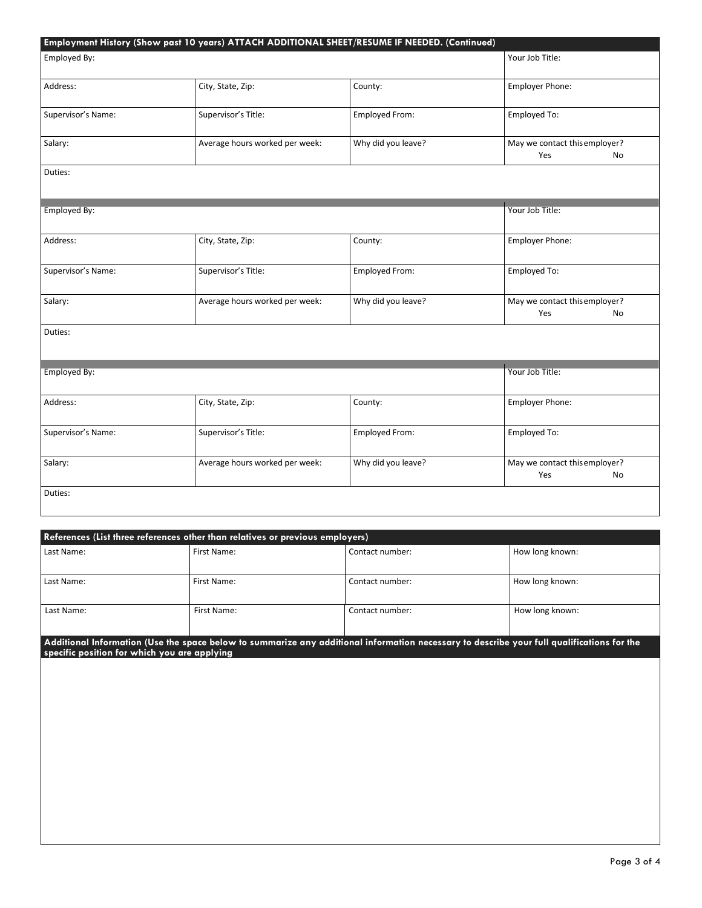| Employed By:        |                                |                    | Your Job Title:                            |
|---------------------|--------------------------------|--------------------|--------------------------------------------|
| Address:            | City, State, Zip:              | County:            | Employer Phone:                            |
| Supervisor's Name:  | Supervisor's Title:            | Employed From:     | Employed To:                               |
| Salary:             | Average hours worked per week: | Why did you leave? | May we contact this employer?<br>Yes<br>No |
| Duties:             |                                |                    |                                            |
| <b>Employed By:</b> |                                |                    | Your Job Title:                            |
| Address:            | City, State, Zip:              | County:            | Employer Phone:                            |
| Supervisor's Name:  | Supervisor's Title:            | Employed From:     | Employed To:                               |
| Salary:             | Average hours worked per week: | Why did you leave? | May we contact this employer?<br>Yes<br>No |
| Duties:             |                                |                    |                                            |
| Employed By:        |                                |                    | Your Job Title:                            |
| Address:            | City, State, Zip:              | County:            | Employer Phone:                            |
| Supervisor's Name:  | Supervisor's Title:            | Employed From:     | Employed To:                               |
| Salary:             | Average hours worked per week: | Why did you leave? | May we contact this employer?<br>Yes<br>No |
| Duties:             |                                |                    |                                            |

| References (List three references other than relatives or previous employers) |                                                                                                                                                                                            |                 |                 |  |  |  |  |
|-------------------------------------------------------------------------------|--------------------------------------------------------------------------------------------------------------------------------------------------------------------------------------------|-----------------|-----------------|--|--|--|--|
| Last Name:                                                                    | First Name:                                                                                                                                                                                | Contact number: | How long known: |  |  |  |  |
| Last Name:                                                                    | First Name:                                                                                                                                                                                | Contact number: | How long known: |  |  |  |  |
| Last Name:                                                                    | First Name:                                                                                                                                                                                | Contact number: | How long known: |  |  |  |  |
|                                                                               | Additional Information (Use the space below to summarize any additional information necessary to describe your full qualifications for the<br>specific position for which you are applying |                 |                 |  |  |  |  |
|                                                                               |                                                                                                                                                                                            |                 |                 |  |  |  |  |
|                                                                               |                                                                                                                                                                                            |                 |                 |  |  |  |  |
|                                                                               |                                                                                                                                                                                            |                 |                 |  |  |  |  |
|                                                                               |                                                                                                                                                                                            |                 |                 |  |  |  |  |